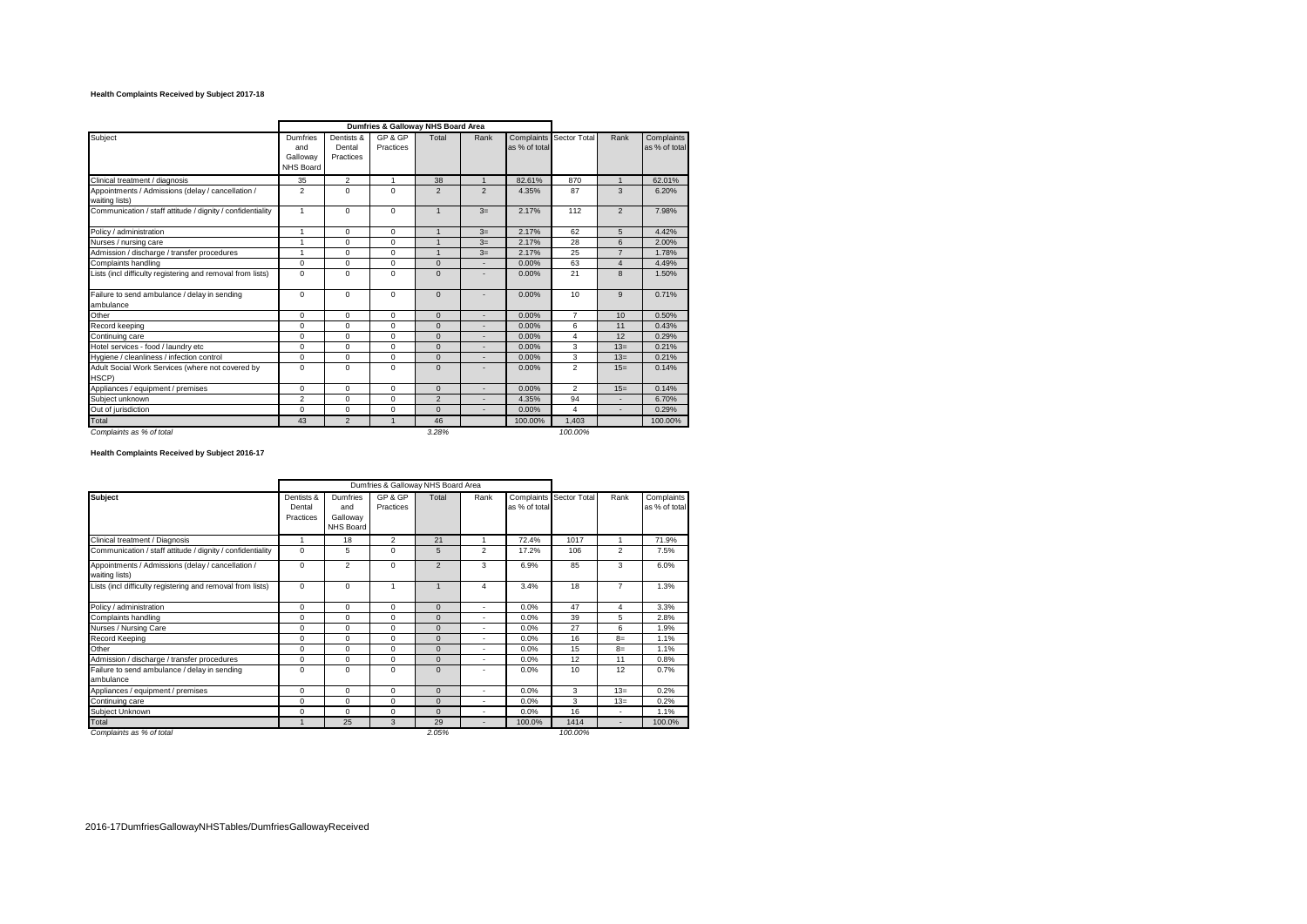### **Health Complaints Received by Subject 2017-18**

|                                                                     | Dumfries & Galloway NHS Board Area       |                                   |                      |                |                |               |                         |                |                             |
|---------------------------------------------------------------------|------------------------------------------|-----------------------------------|----------------------|----------------|----------------|---------------|-------------------------|----------------|-----------------------------|
| Subject                                                             | Dumfries<br>and<br>Galloway<br>NHS Board | Dentists &<br>Dental<br>Practices | GP & GP<br>Practices | Total          | Rank           | as % of total | Complaints Sector Total | Rank           | Complaints<br>as % of total |
| Clinical treatment / diagnosis                                      | 35                                       | $\overline{2}$                    | 1                    | 38             | $\mathbf{1}$   | 82.61%        | 870                     | $\mathbf{1}$   | 62.01%                      |
| Appointments / Admissions (delay / cancellation /<br>waiting lists) | $\overline{2}$                           | $\Omega$                          | $\Omega$             | $\overline{2}$ | $\overline{2}$ | 4.35%         | 87                      | 3              | 6.20%                       |
| Communication / staff attitude / dignity / confidentiality          | $\mathbf{1}$                             | $\Omega$                          | $\Omega$             | $\mathbf{1}$   | $3=$           | 2.17%         | 112                     | $\overline{2}$ | 7.98%                       |
| Policy / administration                                             | $\mathbf{1}$                             | $\mathbf 0$                       | $\Omega$             | $\overline{1}$ | $3=$           | 2.17%         | 62                      | 5              | 4.42%                       |
| Nurses / nursing care                                               | 1                                        | $\mathbf 0$                       | $\mathbf 0$          | $\overline{1}$ | $3=$           | 2.17%         | 28                      | 6              | 2.00%                       |
| Admission / discharge / transfer procedures                         | 1                                        | $\Omega$                          | $\Omega$             | $\overline{1}$ | $3=$           | 2.17%         | 25                      | $\overline{7}$ | 1.78%                       |
| Complaints handling                                                 | $\Omega$                                 | $\mathbf 0$                       | $\Omega$             | $\Omega$       |                | 0.00%         | 63                      | $\overline{4}$ | 4.49%                       |
| Lists (incl difficulty registering and removal from lists)          | $\mathbf 0$                              | $\mathbf 0$                       | $\Omega$             | $\Omega$       |                | 0.00%         | 21                      | 8              | 1.50%                       |
| Failure to send ambulance / delay in sending<br>ambulance           | $\mathbf 0$                              | $\mathbf 0$                       | $\Omega$             | $\mathbf 0$    |                | 0.00%         | 10                      | 9              | 0.71%                       |
| Other                                                               | $\mathbf 0$                              | $\mathbf 0$                       | $\Omega$             | $\mathbf{0}$   |                | 0.00%         | $\overline{7}$          | 10             | 0.50%                       |
| Record keeping                                                      | $\Omega$                                 | $\mathbf 0$                       | $\Omega$             | $\Omega$       | $\overline{a}$ | 0.00%         | 6                       | 11             | 0.43%                       |
| Continuing care                                                     | $\Omega$                                 | $\mathbf 0$                       | $\Omega$             | $\Omega$       |                | 0.00%         | $\overline{4}$          | 12             | 0.29%                       |
| Hotel services - food / laundry etc                                 | $\mathbf 0$                              | $\mathbf 0$                       | $\Omega$             | $\Omega$       |                | 0.00%         | 3                       | $13=$          | 0.21%                       |
| Hygiene / cleanliness / infection control                           | $\mathbf 0$                              | $\mathbf 0$                       | $\mathbf 0$          | $\mathbf 0$    |                | 0.00%         | 3                       | $13=$          | 0.21%                       |
| Adult Social Work Services (where not covered by<br>HSCP)           | $\Omega$                                 | $\Omega$                          | $\Omega$             | $\Omega$       |                | 0.00%         | $\overline{2}$          | $15=$          | 0.14%                       |
| Appliances / equipment / premises                                   | $\mathbf 0$                              | $\mathbf 0$                       | $\Omega$             | $\mathbf{0}$   |                | 0.00%         | $\overline{2}$          | $15=$          | 0.14%                       |
| Subiect unknown                                                     | $\overline{2}$                           | $\mathbf 0$                       | $\Omega$             | $\overline{2}$ |                | 4.35%         | 94                      |                | 6.70%                       |
| Out of iurisdiction                                                 | $\mathbf 0$                              | $\mathbf 0$                       | $\mathbf 0$          | $\Omega$       |                | 0.00%         | 4                       | ۰              | 0.29%                       |
| Total                                                               | 43                                       | $\overline{2}$                    | 1                    | 46             |                | 100.00%       | 1,403                   |                | 100.00%                     |
| Complaints as % of total                                            |                                          |                                   |                      | 3.28%          |                |               | 100.00%                 |                |                             |

**Health Complaints Received by Subject 2016-17**

|                                                                     |                                   |                                          | Dumfries & Galloway NHS Board Area |                |                |               |                         |                          |                             |
|---------------------------------------------------------------------|-----------------------------------|------------------------------------------|------------------------------------|----------------|----------------|---------------|-------------------------|--------------------------|-----------------------------|
| <b>Subject</b>                                                      | Dentists &<br>Dental<br>Practices | Dumfries<br>and<br>Galloway<br>NHS Board | GP & GP<br>Practices               | Total          | Rank           | as % of total | Complaints Sector Total | Rank                     | Complaints<br>as % of total |
| Clinical treatment / Diagnosis                                      | ٠                                 | 18                                       | 2                                  | 21             |                | 72.4%         | 1017                    | 1                        | 71.9%                       |
| Communication / staff attitude / dignity / confidentiality          | $\mathbf 0$                       | 5                                        | $\mathbf 0$                        | 5              | $\overline{2}$ | 17.2%         | 106                     | 2                        | 7.5%                        |
| Appointments / Admissions (delay / cancellation /<br>waiting lists) | $\mathbf 0$                       | $\overline{2}$                           | $\Omega$                           | $\overline{2}$ | 3              | 6.9%          | 85                      | 3                        | 6.0%                        |
| Lists (incl difficulty registering and removal from lists)          | $\mathbf 0$                       | $\mathbf 0$                              |                                    | 1              | $\overline{4}$ | 3.4%          | 18                      | $\overline{7}$           | 1.3%                        |
| Policy / administration                                             | $\mathbf 0$                       | 0                                        | 0                                  | $\mathbf 0$    | $\overline{a}$ | 0.0%          | 47                      | 4                        | 3.3%                        |
| Complaints handling                                                 | $\mathbf 0$                       | 0                                        | 0                                  | $\mathbf 0$    | $\overline{a}$ | 0.0%          | 39                      | 5                        | 2.8%                        |
| Nurses / Nursing Care                                               | $\mathbf 0$                       | 0                                        | $\Omega$                           | $\Omega$       | $\overline{a}$ | 0.0%          | 27                      | 6                        | 1.9%                        |
| Record Keeping                                                      | $\mathbf 0$                       | 0                                        | $\Omega$                           | $\Omega$       | $\overline{a}$ | 0.0%          | 16                      | $B=$                     | 1.1%                        |
| Other                                                               | $\mathbf 0$                       | 0                                        | 0                                  | $\Omega$       | $\overline{a}$ | 0.0%          | 15                      | $8=$                     | 1.1%                        |
| Admission / discharge / transfer procedures                         | $\Omega$                          | $\Omega$                                 | $\Omega$                           | $\Omega$       | $\overline{a}$ | 0.0%          | 12                      | 11                       | 0.8%                        |
| Failure to send ambulance / delay in sending<br>ambulance           | $\Omega$                          | $\mathbf 0$                              | $\Omega$                           | $\Omega$       |                | 0.0%          | 10                      | 12                       | 0.7%                        |
| Appliances / equipment / premises                                   | $\mathbf 0$                       | 0                                        | 0                                  | $\Omega$       | $\overline{a}$ | 0.0%          | 3                       | $13=$                    | 0.2%                        |
| Continuing care                                                     | $\Omega$                          | $\Omega$                                 | $\Omega$                           | $\Omega$       | $\overline{a}$ | 0.0%          | 3                       | $13=$                    | 0.2%                        |
| Subject Unknown                                                     | 0                                 | $\Omega$                                 | 0                                  | $\Omega$       | $\overline{a}$ | 0.0%          | 16                      | $\sim$                   | 1.1%                        |
| Total                                                               |                                   | 25                                       | 3                                  | 29             | $\overline{a}$ | 100.0%        | 1414                    | $\overline{\phantom{a}}$ | 100.0%                      |
| Complaints as % of total                                            |                                   |                                          |                                    | 2.05%          |                |               | 100.00%                 |                          |                             |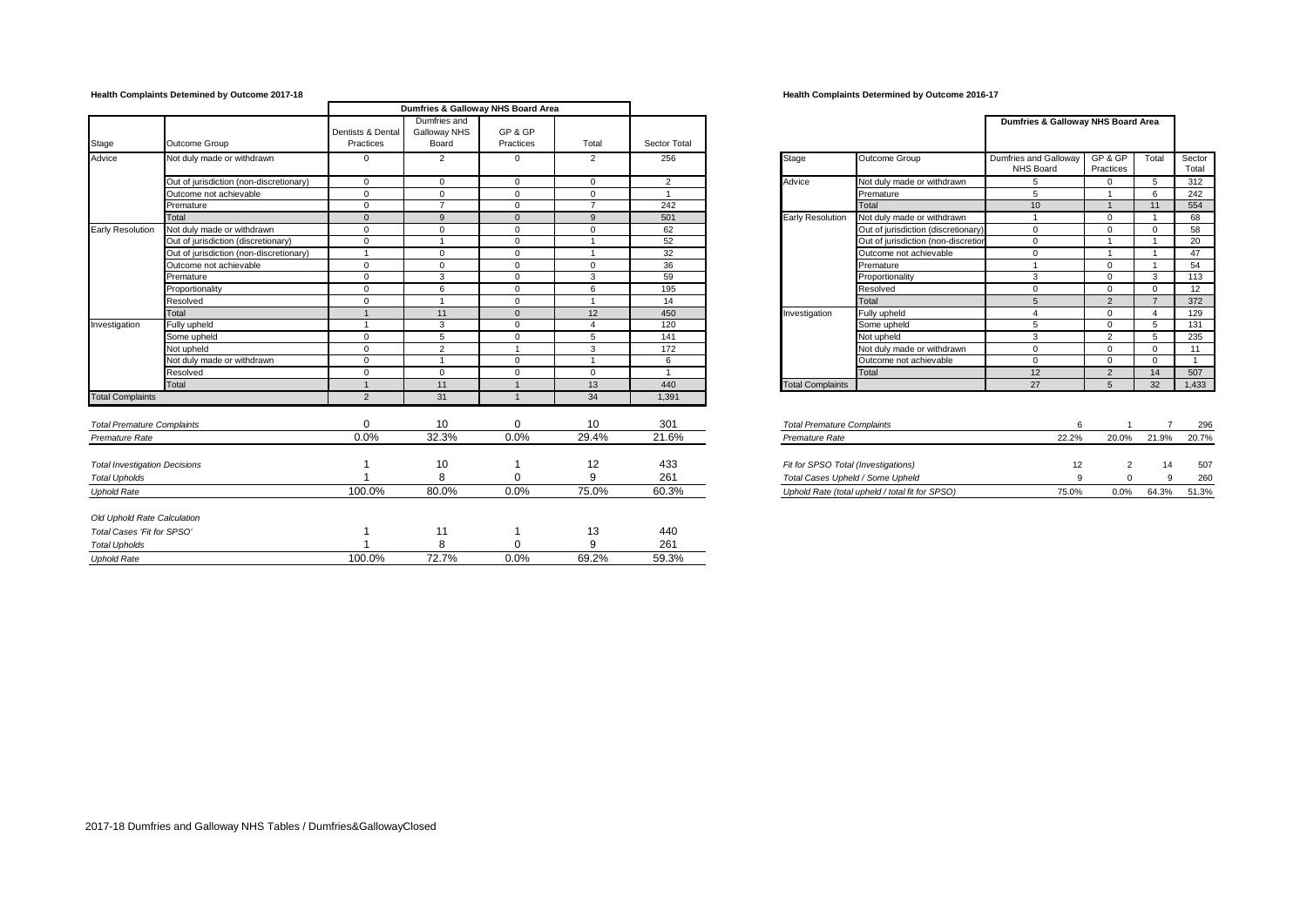## **Health Complaints Detemined by Outcome 2017-18 Health Complaints Determined by Outcome 2016-17**

|                                      | Dumfries & Galloway NHS Board Area      |                                |                                       |                      |                |              |                                     |                                                 |                                    |                     |                |                 |
|--------------------------------------|-----------------------------------------|--------------------------------|---------------------------------------|----------------------|----------------|--------------|-------------------------------------|-------------------------------------------------|------------------------------------|---------------------|----------------|-----------------|
| Stage                                | Outcome Group                           | Dentists & Dental<br>Practices | Dumfries and<br>Galloway NHS<br>Board | GP & GP<br>Practices | Total          | Sector Total |                                     |                                                 | Dumfries & Galloway NHS Board Area |                     |                |                 |
| Advice                               | Not duly made or withdrawn              | $^{\circ}$                     | $\overline{2}$                        | $\mathbf{0}$         | 2              | 256          | Stage                               | Outcome Group                                   | Dumfries and Galloway<br>NHS Board | GP& GP<br>Practices | Total          | Sector<br>Total |
|                                      | Out of jurisdiction (non-discretionary) | $\overline{0}$                 | $\mathbf{0}$                          | $\mathbf{0}$         | $\mathbf{0}$   | 2            | Advice                              | Not duly made or withdrawn                      | 5                                  | $\mathbf 0$         | 5              | 312             |
|                                      | Outcome not achievable                  | $\Omega$                       | $\Omega$                              | $\Omega$             | $\Omega$       |              |                                     | Premature                                       | $5\overline{5}$                    |                     | 6              | 242             |
|                                      | Premature                               | $\Omega$                       | $\overline{7}$                        | $\Omega$             | $\overline{ }$ | 242          |                                     | Total                                           | 10 <sup>10</sup>                   |                     | 11             | 554             |
|                                      | Total                                   | $\Omega$                       | $\mathbf{q}$                          | $\Omega$             | 9              | 501          | <b>Early Resolution</b>             | Not duly made or withdrawn                      |                                    | $\mathbf{0}$        | $\overline{1}$ | 68              |
| <b>Early Resolution</b>              | Not duly made or withdrawn              | $\Omega$                       | $\Omega$                              | $\mathbf 0$          | $\Omega$       | 62           |                                     | Out of jurisdiction (discretionary              | $\Omega$                           | $\mathbf 0$         | $\Omega$       | 58              |
|                                      | Out of jurisdiction (discretionary)     | $\Omega$                       |                                       | $\Omega$             |                | 52           |                                     | Out of jurisdiction (non-discretion             | $\Omega$                           |                     |                | 20              |
|                                      | Out of jurisdiction (non-discretionary) |                                | $\Omega$                              | $\Omega$             |                | 32           |                                     | Outcome not achievable                          | $\Omega$                           |                     |                | 47              |
|                                      | Outcome not achievable                  | $\mathbf{0}$                   | $\Omega$                              | $\mathbf{0}$         | $\mathbf{0}$   | 36           |                                     | Premature                                       |                                    | $\mathbf{0}$        |                | 54              |
|                                      | Premature                               | $\mathbf{0}$                   | 3                                     | $\mathbf{0}$         | 3              | 59           |                                     | Proportionality                                 | 3                                  | $\mathbf{0}$        | 3              | 113             |
|                                      | Proportionality                         | $\mathbf{0}$                   | 6                                     | $^{\circ}$           | 6              | 195          |                                     | Resolved                                        | $\Omega$                           | $\Omega$            | $\Omega$       | 12              |
|                                      | Resolved                                | $\Omega$                       |                                       | $^{\circ}$           | -1             | 14           |                                     | Total                                           | $5\overline{5}$                    | 2                   | $\overline{7}$ | 372             |
|                                      | Total                                   |                                | 11                                    | $\Omega$             | 12             | 450          | Investigation                       | Fully upheld                                    | $\boldsymbol{\Lambda}$             | $\mathbf{0}$        | $\overline{4}$ | 129             |
| Investigation                        | Fully upheld                            |                                | 3                                     | $\Omega$             | $\overline{4}$ | 120          |                                     | Some upheld                                     | $5\overline{5}$                    | $\Omega$            | 5              | 131             |
|                                      | Some upheld                             | $\Omega$                       | 5                                     | $\Omega$             | 5              | 141          |                                     | Not upheld                                      | 3                                  | 2                   | 5              | 235             |
|                                      | Not upheld                              | $\Omega$                       | $\overline{2}$                        |                      | 3              | 172          |                                     | Not duly made or withdrawn                      | $\Omega$                           | $\Omega$            | $\Omega$       | 11              |
|                                      | Not duly made or withdrawn              | $\Omega$                       | $\overline{ }$                        | $\Omega$             | $\overline{1}$ | 6            |                                     | Outcome not achievable                          | $\Omega$                           | $\Omega$            | $\Omega$       | $\overline{1}$  |
|                                      | Resolved                                | $\Omega$                       | $\Omega$                              | $\mathbf 0$          | $\mathbf 0$    |              |                                     | Total                                           | 12                                 | 2                   | 14             | 507             |
|                                      | Total                                   |                                | 11                                    |                      | 13             | 440          | <b>Total Complaints</b>             |                                                 | 27                                 | 5 <sup>5</sup>      | 32             | 1,433           |
| <b>Total Complaints</b>              |                                         | $\overline{2}$                 | 31                                    | $\mathbf{1}$         | 34             | 1,391        |                                     |                                                 |                                    |                     |                |                 |
| <b>Total Premature Complaints</b>    |                                         | $\Omega$                       | 10                                    | 0                    | 10             | 301          | <b>Total Premature Complaints</b>   |                                                 | 6                                  |                     |                | 296             |
| Premature Rate                       |                                         | 0.0%                           | 32.3%                                 | 0.0%                 | 29.4%          | 21.6%        | Premature Rate                      |                                                 | 22.2%                              | 20.0%               | 21.9%          | 20.7%           |
| <b>Total Investigation Decisions</b> |                                         |                                | 10                                    |                      | 12             | 433          | Fit for SPSO Total (Investigations) |                                                 | 12                                 | $\overline{2}$      |                | 507             |
| <b>Total Upholds</b>                 |                                         |                                | 8                                     | $\Omega$             | 9              | 261          | Total Cases Upheld / Some Upheld    |                                                 | 9                                  | $\Omega$            | 9              | 260             |
| <b>Uphold Rate</b>                   |                                         | 100.0%                         | 80.0%                                 | 0.0%                 | 75.0%          | 60.3%        |                                     | Uphold Rate (total upheld / total fit for SPSO) | 75.0%                              | 0.0%                | 64.3%          | 51.3%           |
| Old Uphold Rate Calculation          |                                         |                                |                                       |                      |                |              |                                     |                                                 |                                    |                     |                |                 |
| Total Cases 'Fit for SPSO'           |                                         |                                | 11                                    |                      | 13             | 440          |                                     |                                                 |                                    |                     |                |                 |
| <b>Total Upholds</b>                 |                                         |                                | 8                                     |                      | 9              | 261          |                                     |                                                 |                                    |                     |                |                 |
| <b>Uphold Rate</b>                   |                                         | 100.0%                         | 72.7%                                 | 0.0%                 | 69.2%          | 59.3%        |                                     |                                                 |                                    |                     |                |                 |
|                                      |                                         |                                |                                       |                      |                |              |                                     |                                                 |                                    |                     |                |                 |

|                         |                                     | Dumfries & Galloway NHS Board Area        |                             |                |                 |
|-------------------------|-------------------------------------|-------------------------------------------|-----------------------------|----------------|-----------------|
| Stage                   | Outcome Group                       | Dumfries and Galloway<br><b>NHS Board</b> | GP & GP<br><b>Practices</b> | Total          | Sector<br>Total |
| Advice                  | Not duly made or withdrawn          | 5                                         | $\Omega$                    | 5              | 312             |
|                         | Premature                           | 5                                         | 1                           | 6              | 242             |
|                         | Total                               | 10                                        | 1                           | 11             | 554             |
| Early Resolution        | Not duly made or withdrawn          | 1                                         | $\Omega$                    | 1              | 68              |
|                         | Out of jurisdiction (discretionary) | $\Omega$                                  | $\Omega$                    | $\Omega$       | 58              |
|                         | Out of jurisdiction (non-discretion | 0                                         | 1                           | 1              | 20              |
|                         | Outcome not achievable              | $\Omega$                                  | 1                           | 1              | 47              |
|                         | Premature                           | 1                                         | $\Omega$                    | 1              | 54              |
|                         | Proportionality                     | 3                                         | $\Omega$                    | 3              | 113             |
|                         | Resolved                            | $\Omega$                                  | $\Omega$                    | $\Omega$       | 12              |
|                         | Total                               | 5                                         | $\overline{2}$              | $\overline{7}$ | 372             |
| Investigation           | Fully upheld                        | 4                                         | $\Omega$                    | 4              | 129             |
|                         | Some upheld                         | 5                                         | $\Omega$                    | 5              | 131             |
|                         | Not upheld                          | 3                                         | $\overline{2}$              | 5              | 235             |
|                         | Not duly made or withdrawn          | 0                                         | $\Omega$                    | $\Omega$       | 11              |
|                         | Outcome not achievable              | $\Omega$                                  | $\Omega$                    | $\Omega$       | 1               |
|                         | Total                               | 12                                        | $\overline{2}$              | 14             | 507             |
| <b>Total Complaints</b> |                                     | 27                                        | 5                           | 32             | 1,433           |

| <b>Total Premature Complaints</b>                 |              |       |              | 296    |
|---------------------------------------------------|--------------|-------|--------------|--------|
| Premature Rate                                    | 22.2%        | 20.0% | 21.9%        | 20.7%  |
|                                                   |              |       |              |        |
| Fit for SPSO Total (Investigations)               | 12           |       | 14           | 507    |
| Total Cases Upheld / Some Upheld                  | a            |       |              | 260    |
| I Inhold Pate (total unheld / total fit for SPSO) | <b>75 0%</b> | n nos | <b>64.3%</b> | 51 30/ |